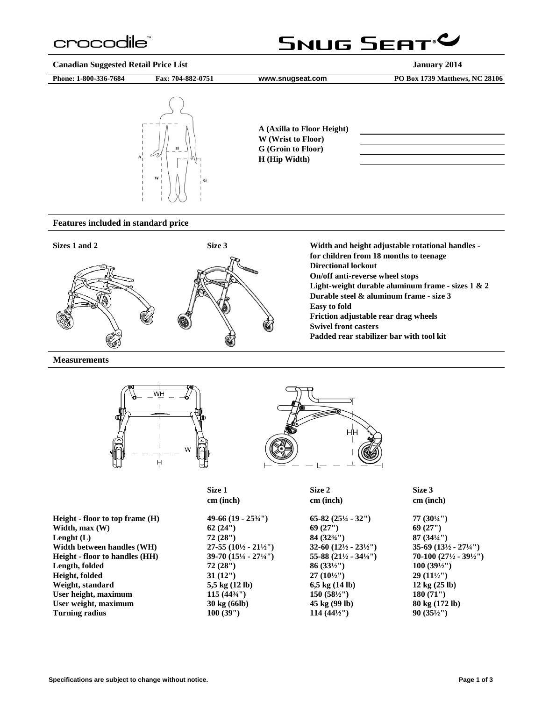### crocodile<sup>®</sup>

### SNUG SEAT<sup>.</sup>

**Canadian Suggested Retail Price List January 2014**

**Phone: 1-800-336-7684 Fax: 704-882-0751 [www.snugseat.com](http://www.snugseat.com/) PO Box 1739 Matthews, NC 28106**



**A (Axilla to Floor Height) W (Wrist to Floor) G (Groin to Floor) H (Hip Width)**

#### **Features included in standard price**



**Measurements**





|                                       | Size 1                                 | Size 2                                    | Size 3                                    |  |
|---------------------------------------|----------------------------------------|-------------------------------------------|-------------------------------------------|--|
|                                       | cm (inch)                              | cm (inch)                                 | cm (inch)                                 |  |
| Height - floor to top frame $(H)$     | $49-66(19-25\frac{3}{4})$              | $65-82(25\frac{1}{4}-32\%)$               | 77(3044)                                  |  |
| Width, $max(W)$                       | 62(24")                                | 69(27")                                   | 69(27")                                   |  |
| Lenght $(L)$                          | 72(28")                                | $84(32\frac{3}{4})$                       | $87(34\frac{1}{4})$                       |  |
| Width between handles (WH)            | $27-55(10\frac{1}{2}-21\frac{1}{2})$   | $32-60$ $(12\frac{1}{2} - 23\frac{1}{2})$ | $35-69$ $(13\frac{1}{2} - 27\frac{1}{4})$ |  |
| <b>Height</b> - floor to handles (HH) | $39-70(15\frac{1}{4} - 27\frac{1}{4})$ | 55-88 $(21\frac{1}{2} - 34\frac{1}{4})$   | $70-100(27\frac{1}{2}-39\frac{1}{2})$     |  |
| Length, folded                        | 72(28")                                | $86(33\frac{1}{2})$                       | $100(39\frac{1}{2})$                      |  |
| Height, folded                        | 31(12")                                | $27(10\frac{1}{2})$                       | $29(11\frac{1}{2})$                       |  |
| Weight, standard                      | 5,5 kg $(12 \text{ lb})$               | $6,5 \text{ kg} (14 \text{ lb})$          | $12 \text{ kg} (25 \text{ lb})$           |  |
| User height, maximum                  | $115(44\frac{3}{4})$                   | $150(58\frac{1}{2})$                      | 180(71")                                  |  |
| User weight, maximum                  | 30 kg (66lb)                           | 45 kg (99 lb)                             | 80 kg (172 lb)                            |  |
| <b>Turning radius</b>                 | 100(39")                               | $114(44\frac{1}{2})$                      | $90(35\frac{1}{2})$                       |  |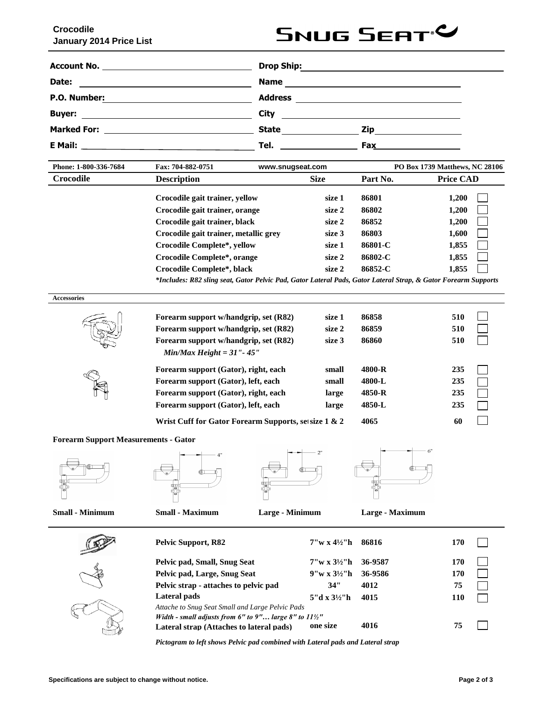# **SNUG SEAT<sup>&</sup>**

|                                                                                            | <b>Drop Ship:</b>                                                                                                                                                                                                                   | <u> 1989 - Johann Harry Harry Harry Harry Harry Harry Harry Harry Harry Harry Harry Harry Harry Harry Harry Harry</u>                                                                                                         |
|--------------------------------------------------------------------------------------------|-------------------------------------------------------------------------------------------------------------------------------------------------------------------------------------------------------------------------------------|-------------------------------------------------------------------------------------------------------------------------------------------------------------------------------------------------------------------------------|
| <b>Date:</b>                                                                               | <b>Name</b>                                                                                                                                                                                                                         |                                                                                                                                                                                                                               |
| P.O. Number:<br><u> 1980 - Andrea Andrew Maria (b. 1980)</u>                               | <b>Address</b>                                                                                                                                                                                                                      | <u> 1989 - Johann Harry Barn, mars ar y brening ar y brening ar y brening ar y brening ar y brening ar y brening</u>                                                                                                          |
| <b>Buyer:</b><br><u> 1980 - Andrea Brand, amerikansk politik (</u>                         | <b>City</b>                                                                                                                                                                                                                         | the control of the control of the control of the control of the control of the control of the control of the control of the control of the control of the control of the control of the control of the control of the control |
| <b>Marked For:</b><br><u> 1980 - Johann Barn, mars an t-Amerikaansk politiker (</u>        | <b>State</b>                                                                                                                                                                                                                        | Zip                                                                                                                                                                                                                           |
| E Mail:<br>the contract of the contract of the contract of the contract of the contract of | <b>Tel.</b> The contract of the contract of the contract of the contract of the contract of the contract of the contract of the contract of the contract of the contract of the contract of the contract of the contract of the con | <b>Fax ____________________</b>                                                                                                                                                                                               |

| Phone: 1-800-336-7684 | Fax: 704-882-0751<br>www.snugseat.com                                                                          |             | PO Box 1739 Matthews, NC 28106 |                  |  |
|-----------------------|----------------------------------------------------------------------------------------------------------------|-------------|--------------------------------|------------------|--|
| Crocodile             | <b>Description</b>                                                                                             | <b>Size</b> | Part No.                       | <b>Price CAD</b> |  |
|                       | Crocodile gait trainer, yellow                                                                                 | size 1      | 86801                          | 1,200            |  |
|                       | Crocodile gait trainer, orange                                                                                 | size 2      | 86802                          | 1,200            |  |
|                       | Crocodile gait trainer, black                                                                                  | size 2      | 86852                          | 1,200            |  |
|                       | Crocodile gait trainer, metallic grev                                                                          | size 3      | 86803                          | 1,600            |  |
|                       | Crocodile Complete*, yellow                                                                                    | size 1      | 86801-C                        | 1,855            |  |
|                       | Crocodile Complete*, orange                                                                                    | size 2      | 86802-C                        | 1,855            |  |
|                       | Crocodile Complete*, black                                                                                     | size 2      | 86852-C                        | 1,855            |  |
|                       | *Includes: R82 sling seat, Gator Pelvic Pad, Gator Lateral Pads, Gator Lateral Strap, & Gator Forearm Supports |             |                                |                  |  |

| <b>Accessories</b> |                                                                                                                                                        |                            |                         |                   |  |
|--------------------|--------------------------------------------------------------------------------------------------------------------------------------------------------|----------------------------|-------------------------|-------------------|--|
|                    | Forearm support w/handgrip, set (R82)<br>Forearm support w/handgrip, set (R82)<br>Forearm support w/handgrip, set (R82)<br>$MinMax Height = 31" - 45"$ | size 1<br>size 2<br>size 3 | 86858<br>86859<br>86860 | 510<br>510<br>510 |  |
|                    | Forearm support (Gator), right, each                                                                                                                   | small                      | 4800-R                  | 235               |  |
|                    | Forearm support (Gator), left, each                                                                                                                    | small                      | 4800-L                  | 235               |  |
|                    | Forearm support (Gator), right, each                                                                                                                   | large                      | 4850-R                  | 235               |  |
|                    | Forearm support (Gator), left, each                                                                                                                    | large                      | 4850-L                  | 235               |  |
|                    | Wrist Cuff for Gator Forearm Supports, set size 1 & 2                                                                                                  |                            | 4065                    | 60                |  |

**Forearm Support Measurements - Gator**







**Small - Minimum Small - Maximum Large - Minimum Large - Maximum**



| <b>Pelvic Support, R82</b>                                                                                    | $7''w \times 4\frac{1}{2}$ 'h | 86816   | 170 |
|---------------------------------------------------------------------------------------------------------------|-------------------------------|---------|-----|
| Pelvic pad, Small, Snug Seat                                                                                  | $7''w \times 3\frac{1}{2}$ 'h | 36-9587 | 170 |
| Pelvic pad, Large, Snug Seat                                                                                  | $9''w \times 3\frac{1}{2}$ 'h | 36-9586 | 170 |
| Pelvic strap - attaches to pelvic pad                                                                         | 34"                           | 4012    | 75  |
| Lateral pads                                                                                                  | 5"d x $3\frac{1}{2}$ "h       | 4015    | 110 |
| Attache to Snug Seat Small and Large Pelvic Pads                                                              |                               |         |     |
| Width - small adjusts from 6" to 9" large 8" to $11\frac{1}{2}$ "<br>Lateral strap (Attaches to lateral pads) | one size                      | 4016    | 75  |
|                                                                                                               |                               |         |     |

*Pictogram to left shows Pelvic pad combined with Lateral pads and Lateral strap*